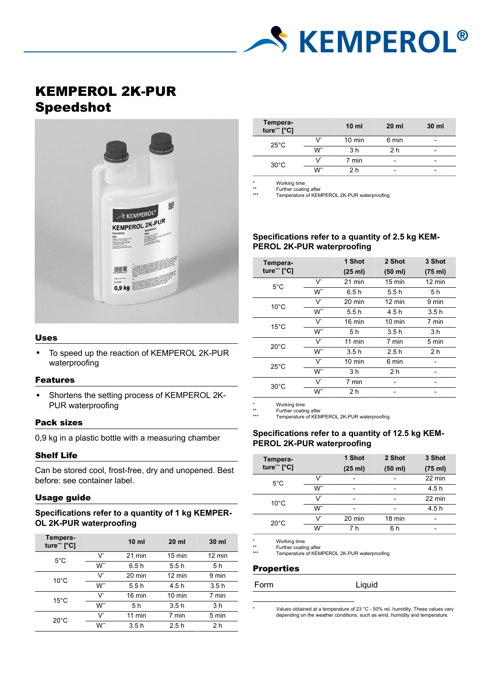# **S KEMPEROL®**

# KEMPEROL 2K-PUR Speedshot



#### Uses

• To speed up the reaction of KEMPEROL 2K-PUR waterproofing

#### Features

• Shortens the setting process of KEMPEROL 2K-PUR waterproofing

#### Pack sizes

0,9 kg in a plastic bottle with a measuring chamber

#### Shelf Life

Can be stored cool, frost-free, dry and unopened. Best before: see container label.

#### Usage guide

## **Specifications refer to a quantity of 1 kg KEMPER-OL 2K-PUR waterproofing**

| Tempera-<br>ture*** [°C] |       | 10 <sub>m1</sub> | $20 \mathrm{ml}$ | 30 ml            |
|--------------------------|-------|------------------|------------------|------------------|
| $5^{\circ}$ C            | V     | $21$ min         | $15 \text{ min}$ | $12 \text{ min}$ |
|                          | W**   | 6.5h             | 5.5h             | 5 h              |
| $10^{\circ}$ C           | V     | $20 \text{ min}$ | $12 \text{ min}$ | 9 min            |
|                          | W**   | 5.5h             | 4.5 h            | 3.5h             |
| $15^{\circ}$ C           | $V^*$ | 16 min           | $10 \text{ min}$ | 7 min            |
|                          | $W^*$ | 5 h              | 3.5h             | 3 h              |
| $20^{\circ}$ C           | V*    | $11$ min         | 7 min            | 5 min            |
|                          | W**   | 3.5h             | 2.5h             | 2 h              |

| Tempera-<br>ture*** [°C] |     | 10 <sub>m1</sub> | $20$ ml                  | 30 ml |
|--------------------------|-----|------------------|--------------------------|-------|
| $25^{\circ}$ C           | v   | $10 \text{ min}$ | 6 min                    | -     |
|                          | W** | 3 h              | 2 h                      |       |
| $30^{\circ}$ C           | v   | 7 min            | $\overline{\phantom{a}}$ |       |
|                          | W** | 2 h              |                          |       |

Working time

\*\* Further coating after \*\*\* Temperature of KEMPEROL 2K-PUR waterproofing

# **Specifications refer to a quantity of 2.5 kg KEM-PEROL 2K-PUR waterproofing**

| Tempera-       |       | 1 Shot           | 2 Shot           | 3 Shot           |
|----------------|-------|------------------|------------------|------------------|
| ture*** [°C]   |       | (25 ml)          | (50 ml)          | (75 ml)          |
| $5^{\circ}$ C  | V     | $21$ min         | $15 \text{ min}$ | $12 \text{ min}$ |
|                | $W^*$ | 6.5h             | 5.5h             | 5 h              |
| $10^{\circ}$ C | $V^*$ | $20 \text{ min}$ | $12 \text{ min}$ | 9 min            |
|                | $W^*$ | 5.5 h            | 4.5 h            | 3.5h             |
| $15^{\circ}$ C | V     | 16 min           | $10 \text{ min}$ | 7 min            |
|                | W**   | 5 h              | 3.5h             | 3 h              |
| $20^{\circ}$ C | $V^*$ | $11$ min         | 7 min            | 5 min            |
|                | W**   | 3.5h             | 2.5h             | 2 <sub>h</sub>   |
| $25^{\circ}$ C | V     | $10 \text{ min}$ | 6 min            |                  |
|                | $W^*$ | 3 <sub>h</sub>   | 2 <sub>h</sub>   |                  |
| $30^{\circ}$ C | V*    | 7 min            |                  |                  |
|                | W**   | 2 <sub>h</sub>   |                  |                  |
|                |       |                  |                  |                  |

\* Working time<br>\*\* Further coatin<br>\*\*\* Temperature

Further coating after Temperature of KEMPEROL 2K-PUR waterproofing

#### **Specifications refer to a quantity of 12.5 kg KEM-PEROL 2K-PUR waterproofing**

| Tempera-       |     | 1 Shot                   | 2 Shot                   | 3 Shot  |
|----------------|-----|--------------------------|--------------------------|---------|
| ture*** [°C]   |     | (25 ml)                  | (50 ml)                  | (75 ml) |
| $5^{\circ}$ C  | v   | -                        |                          | 22 min  |
|                | W** | $\overline{\phantom{0}}$ | $\overline{\phantom{a}}$ | 4.5 h   |
| $10^{\circ}$ C | v   | -                        |                          | 22 min  |
|                | W** | -                        | $\overline{\phantom{0}}$ | 4.5 h   |
| $20^{\circ}$ C | v   | 20 min                   | 18 min                   |         |
|                | W** | 7 h                      | 6 h                      |         |

\* Working time<br>\*\* Further coatin<br>\*\*\* Temperature

\*\* Further coating after \*\*\* Temperature of KEMPEROL 2K-PUR waterproofing

#### **Properties**

| Form | Liquid |
|------|--------|
|      |        |

Values obtained at a temperature of 23 °C - 50% rel. humidity. These values vary depending on the weather conditions, such as wind, humidity and temperature.